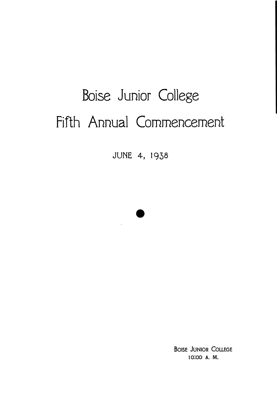# Boise Junior College Fifth Annual Commencement

JUNE 4, 1938



 $\ddot{\phantom{a}}$ 

**BOISE JUNIOR COLLEGE** 10.00 A. M.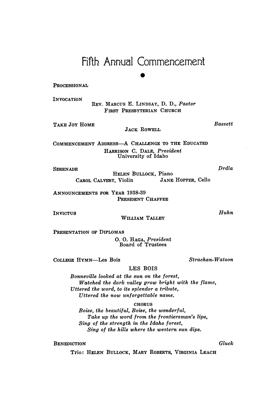# Fifth Annual Commencement

#### PROCESSIONAL

*INVOCATION* 

*REV. MARCUS E. LIKDSAY, D. D., Pastor*  FIRST PRESBYTERIAN CHURCH

TAKE JOY HOME

### **JACK ROWELL**

COMMENCEMENT ADDRESS-A CHALLENGE TO THE EDUCATED *HARRISON C. DALE, President University of Idaho* 

*SERENADE* 

*Drdla* 

*Bassett* 

*HELEN BULLOCK, Piano CAROL CALVERT, Violin JANE HOPPER, Cello* 

ANNOUNCEMENTS FOR YEAR 1938-39 PRESIDENT CHAFFEE

**INVICTUS** 

WILLIAM TALLEY

*PRESENTATION OF DIPLOMAS* 

*0.* 0. *HAGA, President Board of Trustees* 

*COLLEGE HYMN-Les Bois Strachan- Watson* 

#### *LES* **BOIS**

*Bonneville looked at the sun on the forest, Watched the dark valley grow bright with the flame, Uttered the word, to its splendor a tribute, Uttered the now unforgettable name.* 

*CHORUS* 

*Boise, the beautiful, Boise, the wonderful, Take up the word from the frontiersman's Eps, Sing of the strength in the Idaho forest, Sing of the hills where the western sun dips.* 

*BENEDICTION Glwk* 

*Trio: HELEN BULLOCK, MARY ROBERTS, VIRGINIA LEACH* 

### *Huhn*